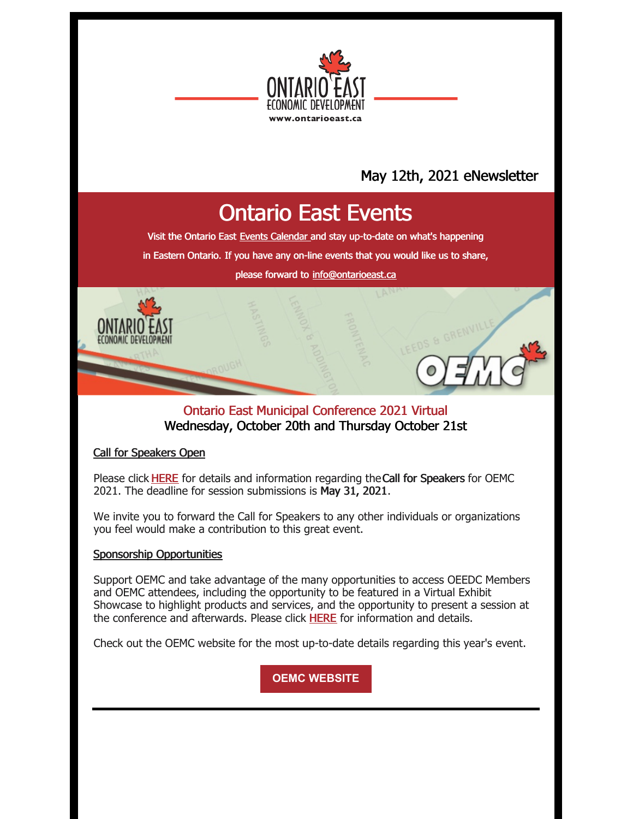

## May 12th, 2021 eNewsletter

# Ontario East Events

Visit the Ontario East Events [Calendar](https://ontarioeast.ca/events) and stay up-to-date on what's happening

in Eastern Ontario. If you have any on-line events that you would like us to share,

please forward to [info@ontarioeast.ca](mailto:info@ontarioeast.ca)

#### Ontario East Municipal Conference 2021 Virtual Wednesday, October 20th and Thursday October 21st

#### Call for Speakers Open

Please click [HERE](https://oemc.ca/call-for-speakers-2021/) for details and information regarding theCall for Speakers for OEMC 2021. The deadline for session submissions is May 31, 2021.

We invite you to forward the Call for Speakers to any other individuals or organizations you feel would make a contribution to this great event.

#### Sponsorship Opportunities

Support OEMC and take advantage of the many opportunities to access OEEDC Members and OEMC attendees, including the opportunity to be featured in a Virtual Exhibit Showcase to highlight products and services, and the opportunity to present a session at the conference and afterwards. Please click [HERE](https://oemc.ca/2021-sponsorship-opportunities/) for information and details.

Check out the OEMC website for the most up-to-date details regarding this year's event.

**OEMC [WEBSITE](https://oemc.ca/)**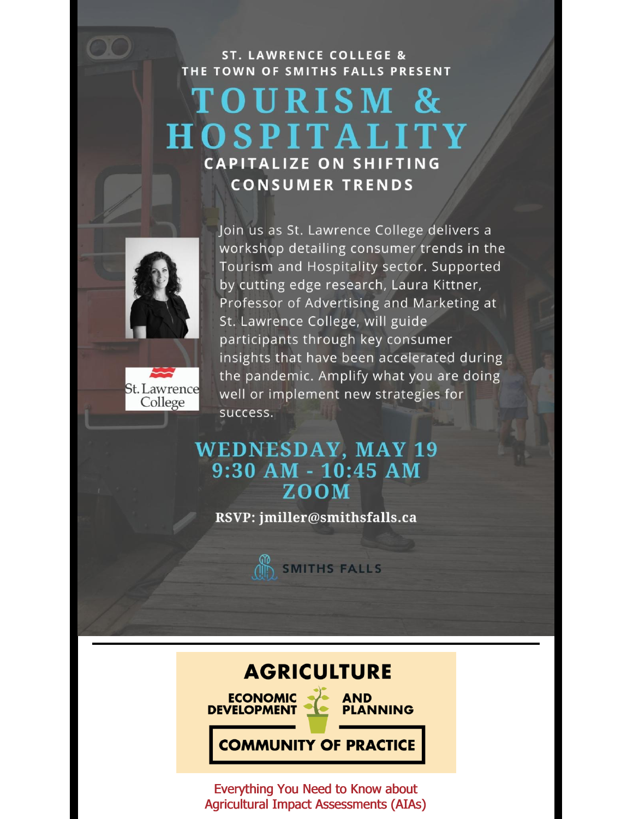**ST. LAWRENCE COLLEGE &** THE TOWN OF SMITHS FALLS PRESENT

# TOURISM & **HOSPITALITY CAPITALIZE ON SHIFTING CONSUMER TRENDS**





Join us as St. Lawrence College delivers a workshop detailing consumer trends in the Tourism and Hospitality sector. Supported by cutting edge research, Laura Kittner, Professor of Advertising and Marketing at St. Lawrence College, will guide participants through key consumer insights that have been accelerated during the pandemic. Amplify what you are doing well or implement new strategies for success.

## **WEDNESDAY, MAY 19**  $9:30$  AM -  $10:45$  AM **ZOOM**

RSVP: jmiller@smithsfalls.ca



## **AGRICULTURE**

**DEVELOPMENT** 

**ECONOMIC • AND PLANNING** 

**COMMUNITY OF PRACTICE** 

Everything You Need to Know about Agricultural Impact Assessments (AIAs)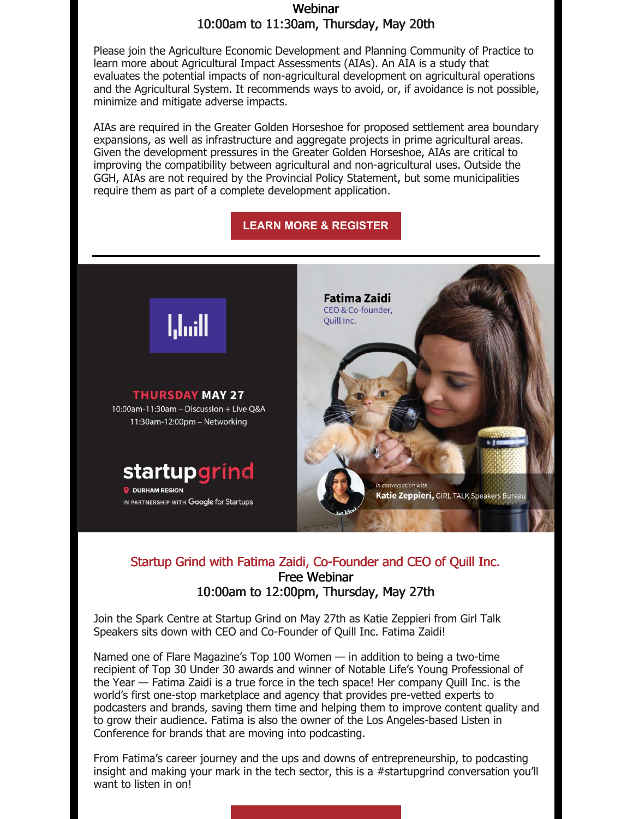#### Webinar 10:00am to 11:30am, Thursday, May 20th

Please join the Agriculture Economic Development and Planning Community of Practice to learn more about Agricultural Impact Assessments (AIAs). An AIA is a study that evaluates the potential impacts of non-agricultural development on agricultural operations and the Agricultural System. It recommends ways to avoid, or, if avoidance is not possible, minimize and mitigate adverse impacts.

AIAs are required in the Greater Golden Horseshoe for proposed settlement area boundary expansions, as well as infrastructure and aggregate projects in prime agricultural areas. Given the development pressures in the Greater Golden Horseshoe, AIAs are critical to improving the compatibility between agricultural and non-agricultural uses. Outside the GGH, AIAs are not required by the Provincial Policy Statement, but some municipalities require them as part of a complete development application.

#### **LEARN MORE & [REGISTER](https://ontarioeast.ca/events/aedp-cop-everything-you-need-know-about-agricultural-impact-assessments-aias-webinar)**



#### Startup Grind with Fatima Zaidi, Co-Founder and CEO of Quill Inc. Free Webinar 10:00am to 12:00pm, Thursday, May 27th

Join the Spark Centre at Startup Grind on May 27th as Katie Zeppieri from Girl Talk Speakers sits down with CEO and Co-Founder of Quill Inc. Fatima Zaidi!

Named one of Flare Magazine's Top 100 Women — in addition to being a two-time recipient of Top 30 Under 30 awards and winner of Notable Life's Young Professional of the Year — Fatima Zaidi is a true force in the tech space! Her company Quill Inc. is the world's first one-stop marketplace and agency that provides pre-vetted experts to podcasters and brands, saving them time and helping them to improve content quality and to grow their audience. Fatima is also the owner of the Los Angeles-based Listen in Conference for brands that are moving into podcasting.

From Fatima's career journey and the ups and downs of entrepreneurship, to podcasting insight and making your mark in the tech sector, this is a #startupgrind conversation you'll want to listen in on!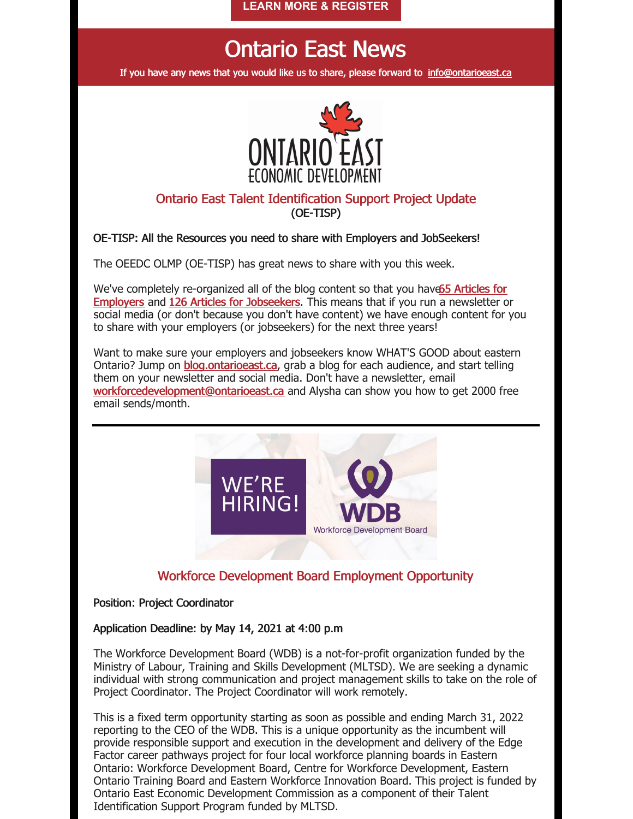**LEARN MORE & [REGISTER](https://can01.safelinks.protection.outlook.com/?url=https%3A%2F%2Fhopin.com%2Fevents%2Fstartup-grind-with-fatima-zaidi-co-founder-and-ceo-of-quill-inc&data=04%7C01%7Caslater%40sparkcentre.org%7C05ead99cbcbd4dfb3f6c08d9109f1771%7C779a25ccdfbe494fb8d8768f7a5f621e%7C0%7C0%7C637559097766326393%7CUnknown%7CTWFpbGZsb3d8eyJWIjoiMC4wLjAwMDAiLCJQIjoiV2luMzIiLCJBTiI6Ik1haWwiLCJXVCI6Mn0%3D%7C1000&sdata=qdJlvsTEP6Emp8gghTOOVbMnekS0G26RljfBAB4VOfw%3D&reserved=0)**

# Ontario East News

If you have any news that you would like us to share, please forward to [info@ontarioeast.ca](mailto:info@ontarioeast.ca)



#### Ontario East Talent Identification Support Project Update (OE-TISP)

#### OE-TISP: All the Resources you need to share with Employers and JobSeekers!

The OEEDC OLMP (OE-TISP) has great news to share with you this week.

We've completely [re-organized](https://t.sidekickopen45.com/s3t/c/5/f18dQhb0S7kv8c82szVf5rhG59hl3kW7_k2842PyJyGW7wzN4k2Qx-dHW2Swb-n2bzNMtf46JSFc01?te=W3R5hFj4cm2zwW3CbHnh1JDwy2W3zgDbB3K1M16W1JxvHB4fDXvLW3M66333K6Lsjn43Z9cH273&si=5457739056414720&pi=f6bb555a-af43-49e2-9c6a-1354ca7f0dd4) all of the blog content so that you have 65 Articles for **Employers** and 126 Articles for [Jobseekers](https://t.sidekickopen45.com/s3t/c/5/f18dQhb0S7kv8c82szVf5rhG59hl3kW7_k2842PyJyGW7wzN4k2Qx-dHW2Swb-n2bzNMtf46JSFc01?te=W3R5hFj4cm2zwW3CbHnh1JDwy2W3zgDbB3K1M16W1JxvHB4fDXvLW3M66333W0gGZF4cJ1LJW2DL1&si=5457739056414720&pi=f6bb555a-af43-49e2-9c6a-1354ca7f0dd4). This means that if you run a newsletter or social media (or don't because you don't have content) we have enough content for you to share with your employers (or jobseekers) for the next three years!

Want to make sure your employers and jobseekers know WHAT'S GOOD about eastern Ontario? Jump on [blog.ontarioeast.ca](http://blog.ontarioeast.ca/), grab a blog for each audience, and start telling them on your newsletter and social media. Don't have a newsletter, email [workforcedevelopment@ontarioeast.ca](mailto:workforcedevelopment@ontarioeast.ca) and Alysha can show you how to get 2000 free email sends/month.



#### Workforce Development Board Employment Opportunity

#### Position: Project Coordinator

#### Application Deadline: by May 14, 2021 at 4:00 p.m

The Workforce Development Board (WDB) is a not-for-profit organization funded by the Ministry of Labour, Training and Skills Development (MLTSD). We are seeking a dynamic individual with strong communication and project management skills to take on the role of Project Coordinator. The Project Coordinator will work remotely.

This is a fixed term opportunity starting as soon as possible and ending March 31, 2022 reporting to the CEO of the WDB. This is a unique opportunity as the incumbent will provide responsible support and execution in the development and delivery of the Edge Factor career pathways project for four local workforce planning boards in Eastern Ontario: Workforce Development Board, Centre for Workforce Development, Eastern Ontario Training Board and Eastern Workforce Innovation Board. This project is funded by Ontario East Economic Development Commission as a component of their Talent Identification Support Program funded by MLTSD.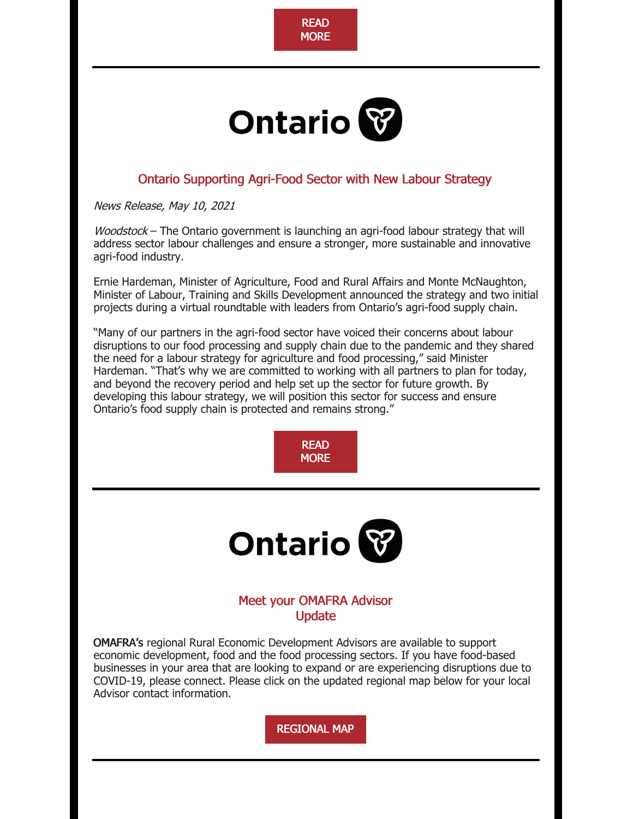

# **Ontario**

### Ontario Supporting Agri-Food Sector with New Labour Strategy

News Release, May 10, 2021

Woodstock – The Ontario government is launching an agri-food labour strategy that will address sector labour challenges and ensure a stronger, more sustainable and innovative agri-food industry.

Ernie Hardeman, Minister of Agriculture, Food and Rural Affairs and Monte McNaughton, Minister of Labour, Training and Skills Development announced the strategy and two initial projects during a virtual roundtable with leaders from Ontario's agri-food supply chain.

"Many of our partners in the agri-food sector have voiced their concerns about labour disruptions to our food processing and supply chain due to the pandemic and they shared the need for a labour strategy for agriculture and food processing," said Minister Hardeman. "That's why we are committed to working with all partners to plan for today, and beyond the recovery period and help set up the sector for future growth. By developing this labour strategy, we will position this sector for success and ensure Ontario's food supply chain is protected and remains strong."

> [READ](https://ontarioeast.ca/news/ontario-supporting-agri-food-sector-new-labour-strategy) **MORE**



#### Meet your OMAFRA Advisor **Update**

OMAFRA's regional Rural Economic Development Advisors are available to support economic development, food and the food processing sectors. If you have food-based businesses in your area that are looking to expand or are experiencing disruptions due to COVID-19, please connect. Please click on the updated regional map below for your local Advisor contact information.

[REGIONAL](https://files.constantcontact.com/35c7e81d001/cc50ee5f-4ac0-4790-b8c7-2f217055d0f3.pdf?rdr=true) MAP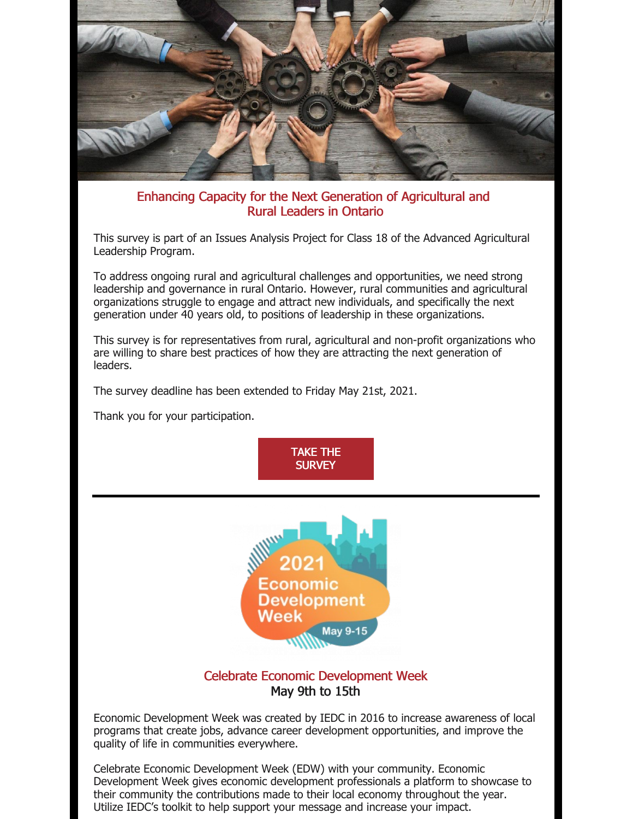

#### Enhancing Capacity for the Next Generation of Agricultural and Rural Leaders in Ontario

This survey is part of an Issues Analysis Project for Class 18 of the Advanced Agricultural Leadership Program.

To address ongoing rural and agricultural challenges and opportunities, we need strong leadership and governance in rural Ontario. However, rural communities and agricultural organizations struggle to engage and attract new individuals, and specifically the next generation under 40 years old, to positions of leadership in these organizations.

This survey is for representatives from rural, agricultural and non-profit organizations who are willing to share best practices of how they are attracting the next generation of leaders.

The survey deadline has been extended to Friday May 21st, 2021.

Thank you for your participation.





#### Celebrate Economic Development Week May 9th to 15th

Economic Development Week was created by IEDC in 2016 to increase awareness of local programs that create jobs, advance career development opportunities, and improve the quality of life in communities everywhere.

Celebrate Economic Development Week (EDW) with your community. Economic Development Week gives economic development professionals a platform to showcase to their community the contributions made to their local economy throughout the year. Utilize IEDC's toolkit to help support your message and increase your impact.